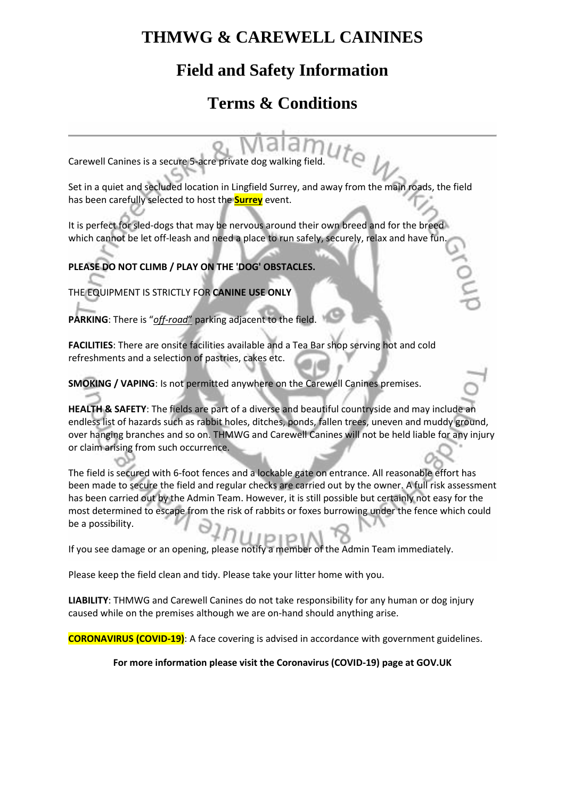# **THMWG & CAREWELL CAININES**

# **Field and Safety Information**

# **Terms & Conditions**

Carewell Canines is a secure 5-acre private dog walking field.

Set in a quiet and secluded location in Lingfield Surrey, and away from the main roads, the field has been carefully selected to host the **Surrey** event.

It is perfect for sled-dogs that may be nervous around their own breed and for the breed which cannot be let off-leash and need a place to run safely, securely, relax and have fun.

**PLEASE DO NOT CLIMB / PLAY ON THE 'DOG' OBSTACLES.**

THE EQUIPMENT IS STRICTLY FOR **CANINE USE ONLY**

**PARKING**: There is "*off-road*" parking adjacent to the field.

**FACILITIES**: There are onsite facilities available and a Tea Bar shop serving hot and cold refreshments and a selection of pastries, cakes etc.

**SMOKING / VAPING**: Is not permitted anywhere on the Carewell Canines premises.

**HEALTH & SAFETY**: The fields are part of a diverse and beautiful countryside and may include an endless list of hazards such as rabbit holes, ditches, ponds, fallen trees, uneven and muddy ground, over hanging branches and so on. THMWG and Carewell Canines will not be held liable for any injury or claim arising from such occurrence.

The field is secured with 6-foot fences and a lockable gate on entrance. All reasonable effort has been made to secure the field and regular checks are carried out by the owner. A full risk assessment has been carried out by the Admin Team. However, it is still possible but certainly not easy for the most determined to escape from the risk of rabbits or foxes burrowing under the fence which could be a possibility.

If you see damage or an opening, please notify a member of the Admin Team immediately.

Please keep the field clean and tidy. Please take your litter home with you.

**LIABILITY**: THMWG and Carewell Canines do not take responsibility for any human or dog injury caused while on the premises although we are on-hand should anything arise.

**CORONAVIRUS (COVID-19)**: A face covering is advised in accordance with government guidelines.

### **For more information please visit the Coronavirus (COVID-19) page at GOV.UK**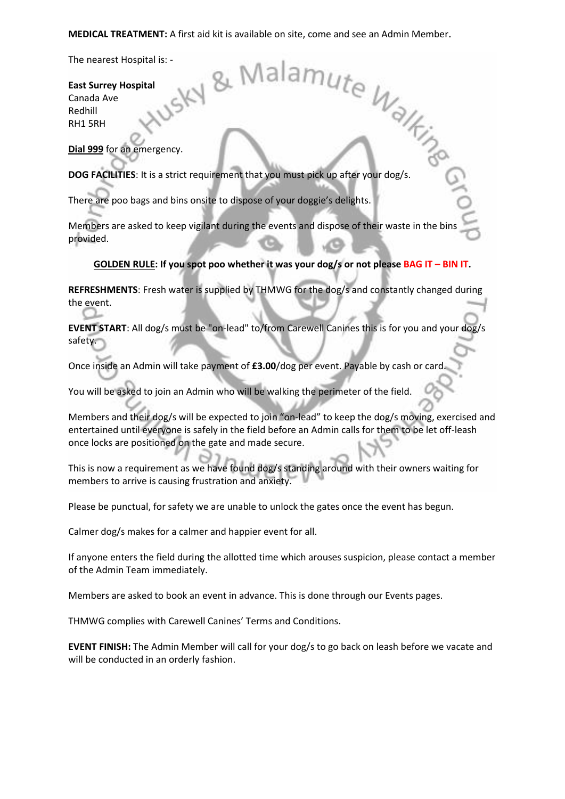# **MEDICAL TREATMENT:** A first aid kit is available on site, come and see an Admin Member.<br>
The nearest Hospital is: -<br> **East Surrey Hospital**<br>
Canada Ave<br>
Redhill<br>
The nearest Hospital<br>
Canada Ave<br>
Redhill<br>
The Manus Canada

The nearest Hospital is: -

### **East Surrey Hospital** Canada Ave

Redhill RH1 5RH

**Dial 999** for an emergency.

**DOG FACILITIES**: It is a strict requirement that you must pick up after your dog/s.

There are poo bags and bins onsite to dispose of your doggie's delights.

Members are asked to keep vigilant during the events and dispose of their waste in the bins provided.

### **GOLDEN RULE: If you spot poo whether it was your dog/s or not please BAG IT – BIN IT.**

**REFRESHMENTS**: Fresh water is supplied by THMWG for the dog/s and constantly changed during the event.

**EVENT START**: All dog/s must be "on-lead" to/from Carewell Canines this is for you and your dog/s safety.

Once inside an Admin will take payment of **£3.00**/dog per event. Payable by cash or card.

You will be asked to join an Admin who will be walking the perimeter of the field.

Members and their dog/s will be expected to join "on-lead" to keep the dog/s moving, exercised and entertained until everyone is safely in the field before an Admin calls for them to be let off-leash once locks are positioned on the gate and made secure.

This is now a requirement as we have found dog/s standing around with their owners waiting for members to arrive is causing frustration and anxiety.

Please be punctual, for safety we are unable to unlock the gates once the event has begun.

Calmer dog/s makes for a calmer and happier event for all.

If anyone enters the field during the allotted time which arouses suspicion, please contact a member of the Admin Team immediately.

Members are asked to book an event in advance. This is done through our Events pages.

THMWG complies with Carewell Canines' Terms and Conditions.

**EVENT FINISH:** The Admin Member will call for your dog/s to go back on leash before we vacate and will be conducted in an orderly fashion.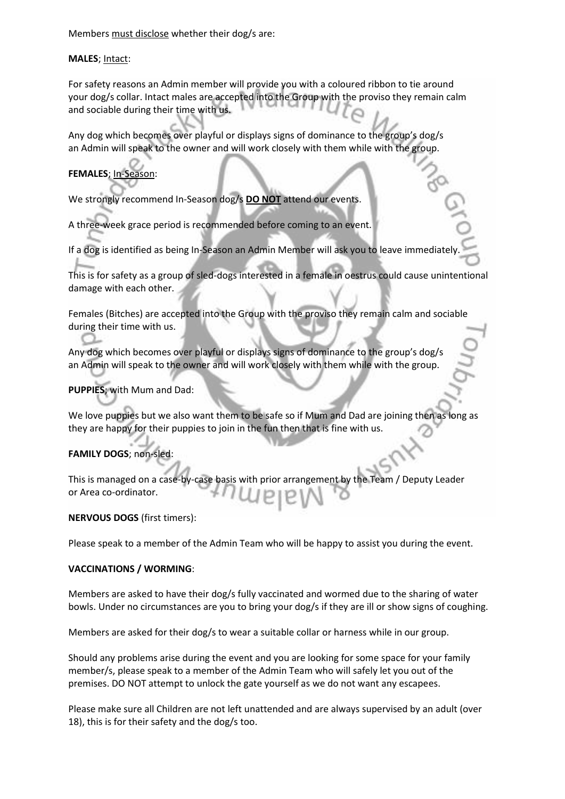Members must disclose whether their dog/s are:

### **MALES**; Intact:

For safety reasons an Admin member will provide you with a coloured ribbon to tie around your dog/s collar. Intact males are accepted into the Group with the proviso they remain calm and sociable during their time with us.

Any dog which becomes over playful or displays signs of dominance to the group's dog/s an Admin will speak to the owner and will work closely with them while with the group.

## **FEMALES**; In-Season:

We strongly recommend In-Season dog/s **DO NOT** attend our events.

A three-week grace period is recommended before coming to an event.

If a dog is identified as being In-Season an Admin Member will ask you to leave immediately.

This is for safety as a group of sled-dogs interested in a female in oestrus could cause unintentional damage with each other.

Females (Bitches) are accepted into the Group with the proviso they remain calm and sociable during their time with us.

Any dog which becomes over playful or displays signs of dominance to the group's dog/s an Admin will speak to the owner and will work closely with them while with the group.

### **PUPPIES**; with Mum and Dad:

We love puppies but we also want them to be safe so if Mum and Dad are joining then as long as they are happy for their puppies to join in the fun then that is fine with us.

### **FAMILY DOGS**; non-sled:

This is managed on a case-by-case basis with prior arrangement by the Team / Deputy Leader or Area co-ordinator.

### **NERVOUS DOGS** (first timers):

Please speak to a member of the Admin Team who will be happy to assist you during the event.

### **VACCINATIONS / WORMING**:

Members are asked to have their dog/s fully vaccinated and wormed due to the sharing of water bowls. Under no circumstances are you to bring your dog/s if they are ill or show signs of coughing.

Members are asked for their dog/s to wear a suitable collar or harness while in our group.

Should any problems arise during the event and you are looking for some space for your family member/s, please speak to a member of the Admin Team who will safely let you out of the premises. DO NOT attempt to unlock the gate yourself as we do not want any escapees.

Please make sure all Children are not left unattended and are always supervised by an adult (over 18), this is for their safety and the dog/s too.